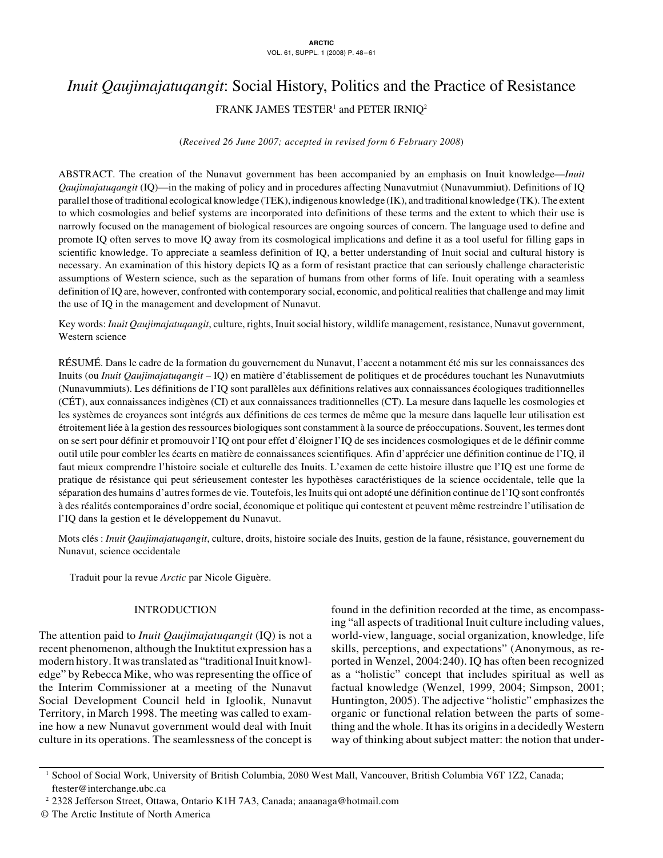# *Inuit Qaujimajatuqangit*: Social History, Politics and the Practice of Resistance FRANK JAMES TESTER<sup>1</sup> and PETER IRNIQ<sup>2</sup>

# (*Received 26 June 2007; accepted in revised form 6 February 2008*)

ABSTRACT. The creation of the Nunavut government has been accompanied by an emphasis on Inuit knowledge—*Inuit Qaujimajatuqangit* (IQ)—in the making of policy and in procedures affecting Nunavutmiut (Nunavummiut). Definitions of IQ parallel those of traditional ecological knowledge (TEK), indigenous knowledge (IK), and traditional knowledge (TK). The extent to which cosmologies and belief systems are incorporated into definitions of these terms and the extent to which their use is narrowly focused on the management of biological resources are ongoing sources of concern. The language used to define and promote IQ often serves to move IQ away from its cosmological implications and define it as a tool useful for filling gaps in scientific knowledge. To appreciate a seamless definition of IQ, a better understanding of Inuit social and cultural history is necessary. An examination of this history depicts IQ as a form of resistant practice that can seriously challenge characteristic assumptions of Western science, such as the separation of humans from other forms of life. Inuit operating with a seamless definition of IQ are, however, confronted with contemporary social, economic, and political realities that challenge and may limit the use of IQ in the management and development of Nunavut.

Key words: *Inuit Qaujimajatuqangit*, culture, rights, Inuit social history, wildlife management, resistance, Nunavut government, Western science

RÉSUMÉ. Dans le cadre de la formation du gouvernement du Nunavut, l'accent a notamment été mis sur les connaissances des Inuits (ou *Inuit Qaujimajatuqangit* – IQ) en matière d'établissement de politiques et de procédures touchant les Nunavutmiuts (Nunavummiuts). Les définitions de l'IQ sont parallèles aux définitions relatives aux connaissances écologiques traditionnelles (CÉT), aux connaissances indigènes (CI) et aux connaissances traditionnelles (CT). La mesure dans laquelle les cosmologies et les systèmes de croyances sont intégrés aux définitions de ces termes de même que la mesure dans laquelle leur utilisation est étroitement liée à la gestion des ressources biologiques sont constamment à la source de préoccupations. Souvent, les termes dont on se sert pour définir et promouvoir l'IQ ont pour effet d'éloigner l'IQ de ses incidences cosmologiques et de le définir comme outil utile pour combler les écarts en matière de connaissances scientifiques. Afin d'apprécier une définition continue de l'IQ, il faut mieux comprendre l'histoire sociale et culturelle des Inuits. L'examen de cette histoire illustre que l'IQ est une forme de pratique de résistance qui peut sérieusement contester les hypothèses caractéristiques de la science occidentale, telle que la séparation des humains d'autres formes de vie. Toutefois, les Inuits qui ont adopté une définition continue de l'IQ sont confrontés à des réalités contemporaines d'ordre social, économique et politique qui contestent et peuvent même restreindre l'utilisation de l'IQ dans la gestion et le développement du Nunavut.

Mots clés : *Inuit Qaujimajatuqangit*, culture, droits, histoire sociale des Inuits, gestion de la faune, résistance, gouvernement du Nunavut, science occidentale

Traduit pour la revue *Arctic* par Nicole Giguère.

# INTRODUCTION

The attention paid to *Inuit Qaujimajatuqangit* (IQ) is not a recent phenomenon, although the Inuktitut expression has a modern history. It was translated as "traditional Inuit knowledge" by Rebecca Mike, who was representing the office of the Interim Commissioner at a meeting of the Nunavut Social Development Council held in Igloolik, Nunavut Territory, in March 1998. The meeting was called to examine how a new Nunavut government would deal with Inuit culture in its operations. The seamlessness of the concept is found in the definition recorded at the time, as encompassing "all aspects of traditional Inuit culture including values, world-view, language, social organization, knowledge, life skills, perceptions, and expectations" (Anonymous, as reported in Wenzel, 2004:240). IQ has often been recognized as a "holistic" concept that includes spiritual as well as factual knowledge (Wenzel, 1999, 2004; Simpson, 2001; Huntington, 2005). The adjective "holistic" emphasizes the organic or functional relation between the parts of something and the whole. It has its origins in a decidedly Western way of thinking about subject matter: the notion that under-

<sup>1</sup> School of Social Work, University of British Columbia, 2080 West Mall, Vancouver, British Columbia V6T 1Z2, Canada; ftester@interchange.ubc.ca

<sup>2</sup> 2328 Jefferson Street, Ottawa, Ontario K1H 7A3, Canada; anaanaga@hotmail.com

<sup>©</sup> The Arctic Institute of North America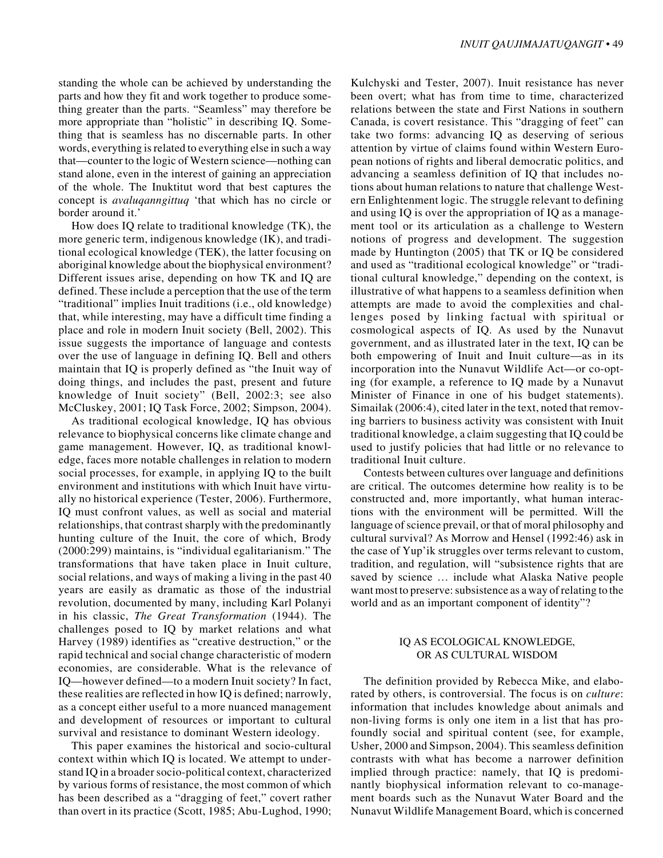standing the whole can be achieved by understanding the parts and how they fit and work together to produce something greater than the parts. "Seamless" may therefore be more appropriate than "holistic" in describing IQ. Something that is seamless has no discernable parts. In other words, everything is related to everything else in such a way that—counter to the logic of Western science—nothing can stand alone, even in the interest of gaining an appreciation of the whole. The Inuktitut word that best captures the concept is *avaluqanngittuq* 'that which has no circle or border around it.'

How does IQ relate to traditional knowledge (TK), the more generic term, indigenous knowledge (IK), and traditional ecological knowledge (TEK), the latter focusing on aboriginal knowledge about the biophysical environment? Different issues arise, depending on how TK and IQ are defined. These include a perception that the use of the term "traditional" implies Inuit traditions (i.e., old knowledge) that, while interesting, may have a difficult time finding a place and role in modern Inuit society (Bell, 2002). This issue suggests the importance of language and contests over the use of language in defining IQ. Bell and others maintain that IQ is properly defined as "the Inuit way of doing things, and includes the past, present and future knowledge of Inuit society" (Bell, 2002:3; see also McCluskey, 2001; IQ Task Force, 2002; Simpson, 2004).

As traditional ecological knowledge, IQ has obvious relevance to biophysical concerns like climate change and game management. However, IQ, as traditional knowledge, faces more notable challenges in relation to modern social processes, for example, in applying IQ to the built environment and institutions with which Inuit have virtually no historical experience (Tester, 2006). Furthermore, IQ must confront values, as well as social and material relationships, that contrast sharply with the predominantly hunting culture of the Inuit, the core of which, Brody (2000:299) maintains, is "individual egalitarianism." The transformations that have taken place in Inuit culture, social relations, and ways of making a living in the past 40 years are easily as dramatic as those of the industrial revolution, documented by many, including Karl Polanyi in his classic, *The Great Transformation* (1944). The challenges posed to IQ by market relations and what Harvey (1989) identifies as "creative destruction," or the rapid technical and social change characteristic of modern economies, are considerable. What is the relevance of IQ—however defined—to a modern Inuit society? In fact, these realities are reflected in how IQ is defined; narrowly, as a concept either useful to a more nuanced management and development of resources or important to cultural survival and resistance to dominant Western ideology.

This paper examines the historical and socio-cultural context within which IQ is located. We attempt to understand IQ in a broader socio-political context, characterized by various forms of resistance, the most common of which has been described as a "dragging of feet," covert rather than overt in its practice (Scott, 1985; Abu-Lughod, 1990; Kulchyski and Tester, 2007). Inuit resistance has never been overt; what has from time to time, characterized relations between the state and First Nations in southern Canada, is covert resistance. This "dragging of feet" can take two forms: advancing IQ as deserving of serious attention by virtue of claims found within Western European notions of rights and liberal democratic politics, and advancing a seamless definition of IQ that includes notions about human relations to nature that challenge Western Enlightenment logic. The struggle relevant to defining and using IQ is over the appropriation of IQ as a management tool or its articulation as a challenge to Western notions of progress and development. The suggestion made by Huntington (2005) that TK or IQ be considered and used as "traditional ecological knowledge" or "traditional cultural knowledge," depending on the context, is illustrative of what happens to a seamless definition when attempts are made to avoid the complexities and challenges posed by linking factual with spiritual or cosmological aspects of IQ. As used by the Nunavut government, and as illustrated later in the text, IQ can be both empowering of Inuit and Inuit culture—as in its incorporation into the Nunavut Wildlife Act—or co-opting (for example, a reference to IQ made by a Nunavut Minister of Finance in one of his budget statements). Simailak (2006:4), cited later in the text, noted that removing barriers to business activity was consistent with Inuit traditional knowledge, a claim suggesting that IQ could be used to justify policies that had little or no relevance to traditional Inuit culture.

Contests between cultures over language and definitions are critical. The outcomes determine how reality is to be constructed and, more importantly, what human interactions with the environment will be permitted. Will the language of science prevail, or that of moral philosophy and cultural survival? As Morrow and Hensel (1992:46) ask in the case of Yup'ik struggles over terms relevant to custom, tradition, and regulation, will "subsistence rights that are saved by science … include what Alaska Native people want most to preserve: subsistence as a way of relating to the world and as an important component of identity"?

## IQ AS ECOLOGICAL KNOWLEDGE, OR AS CULTURAL WISDOM

The definition provided by Rebecca Mike, and elaborated by others, is controversial. The focus is on *culture*: information that includes knowledge about animals and non-living forms is only one item in a list that has profoundly social and spiritual content (see, for example, Usher, 2000 and Simpson, 2004). This seamless definition contrasts with what has become a narrower definition implied through practice: namely, that IQ is predominantly biophysical information relevant to co-management boards such as the Nunavut Water Board and the Nunavut Wildlife Management Board, which is concerned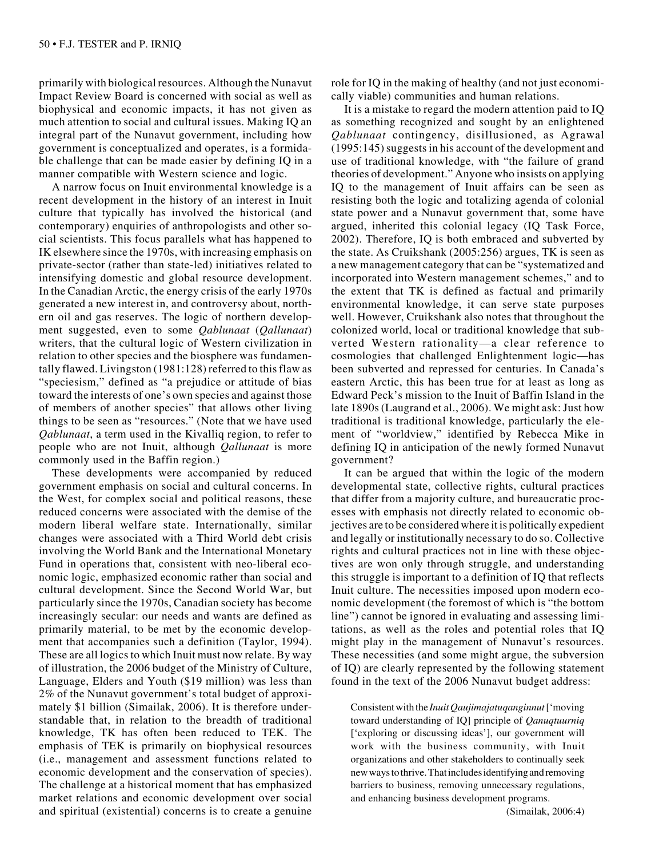primarily with biological resources. Although the Nunavut Impact Review Board is concerned with social as well as biophysical and economic impacts, it has not given as much attention to social and cultural issues. Making IQ an integral part of the Nunavut government, including how government is conceptualized and operates, is a formidable challenge that can be made easier by defining IQ in a manner compatible with Western science and logic.

A narrow focus on Inuit environmental knowledge is a recent development in the history of an interest in Inuit culture that typically has involved the historical (and contemporary) enquiries of anthropologists and other social scientists. This focus parallels what has happened to IK elsewhere since the 1970s, with increasing emphasis on private-sector (rather than state-led) initiatives related to intensifying domestic and global resource development. In the Canadian Arctic, the energy crisis of the early 1970s generated a new interest in, and controversy about, northern oil and gas reserves. The logic of northern development suggested, even to some *Qablunaat* (*Qallunaat*) writers, that the cultural logic of Western civilization in relation to other species and the biosphere was fundamentally flawed. Livingston (1981:128) referred to this flaw as "speciesism," defined as "a prejudice or attitude of bias toward the interests of one's own species and against those of members of another species" that allows other living things to be seen as "resources." (Note that we have used *Qablunaat*, a term used in the Kivalliq region, to refer to people who are not Inuit, although *Qallunaat* is more commonly used in the Baffin region.)

These developments were accompanied by reduced government emphasis on social and cultural concerns. In the West, for complex social and political reasons, these reduced concerns were associated with the demise of the modern liberal welfare state. Internationally, similar changes were associated with a Third World debt crisis involving the World Bank and the International Monetary Fund in operations that, consistent with neo-liberal economic logic, emphasized economic rather than social and cultural development. Since the Second World War, but particularly since the 1970s, Canadian society has become increasingly secular: our needs and wants are defined as primarily material, to be met by the economic development that accompanies such a definition (Taylor, 1994). These are all logics to which Inuit must now relate. By way of illustration, the 2006 budget of the Ministry of Culture, Language, Elders and Youth (\$19 million) was less than 2% of the Nunavut government's total budget of approximately \$1 billion (Simailak, 2006). It is therefore understandable that, in relation to the breadth of traditional knowledge, TK has often been reduced to TEK. The emphasis of TEK is primarily on biophysical resources (i.e., management and assessment functions related to economic development and the conservation of species). The challenge at a historical moment that has emphasized market relations and economic development over social and spiritual (existential) concerns is to create a genuine

role for IQ in the making of healthy (and not just economically viable) communities and human relations.

It is a mistake to regard the modern attention paid to IQ as something recognized and sought by an enlightened *Qablunaat* contingency, disillusioned, as Agrawal (1995:145) suggests in his account of the development and use of traditional knowledge, with "the failure of grand theories of development." Anyone who insists on applying IQ to the management of Inuit affairs can be seen as resisting both the logic and totalizing agenda of colonial state power and a Nunavut government that, some have argued, inherited this colonial legacy (IQ Task Force, 2002). Therefore, IQ is both embraced and subverted by the state. As Cruikshank (2005:256) argues, TK is seen as a new management category that can be "systematized and incorporated into Western management schemes," and to the extent that TK is defined as factual and primarily environmental knowledge, it can serve state purposes well. However, Cruikshank also notes that throughout the colonized world, local or traditional knowledge that subverted Western rationality—a clear reference to cosmologies that challenged Enlightenment logic—has been subverted and repressed for centuries. In Canada's eastern Arctic, this has been true for at least as long as Edward Peck's mission to the Inuit of Baffin Island in the late 1890s (Laugrand et al., 2006). We might ask: Just how traditional is traditional knowledge, particularly the element of "worldview," identified by Rebecca Mike in defining IQ in anticipation of the newly formed Nunavut government?

It can be argued that within the logic of the modern developmental state, collective rights, cultural practices that differ from a majority culture, and bureaucratic processes with emphasis not directly related to economic objectives are to be considered where it is politically expedient and legally or institutionally necessary to do so. Collective rights and cultural practices not in line with these objectives are won only through struggle, and understanding this struggle is important to a definition of IQ that reflects Inuit culture. The necessities imposed upon modern economic development (the foremost of which is "the bottom line") cannot be ignored in evaluating and assessing limitations, as well as the roles and potential roles that IQ might play in the management of Nunavut's resources. These necessities (and some might argue, the subversion of IQ) are clearly represented by the following statement found in the text of the 2006 Nunavut budget address:

Consistent with the *InuitQaujimajatuqanginnut* ['moving toward understanding of IQ] principle of *Qanuqtuurniq* ['exploring or discussing ideas'], our government will work with the business community, with Inuit organizations and other stakeholders to continually seek new ways to thrive. That includes identifying and removing barriers to business, removing unnecessary regulations, and enhancing business development programs.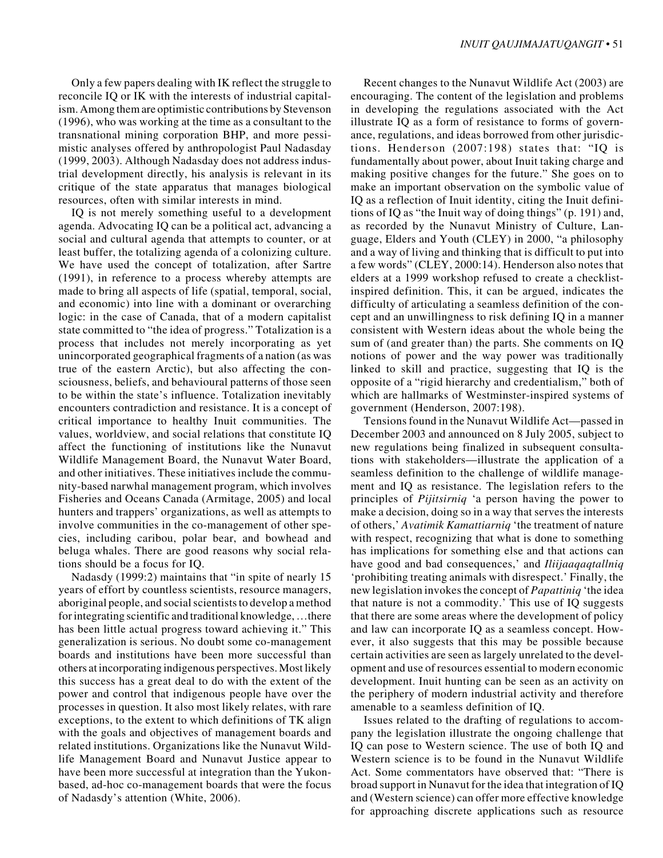Only a few papers dealing with IK reflect the struggle to reconcile IQ or IK with the interests of industrial capitalism. Among them are optimistic contributions by Stevenson (1996), who was working at the time as a consultant to the transnational mining corporation BHP, and more pessimistic analyses offered by anthropologist Paul Nadasday (1999, 2003). Although Nadasday does not address industrial development directly, his analysis is relevant in its critique of the state apparatus that manages biological resources, often with similar interests in mind.

IQ is not merely something useful to a development agenda. Advocating IQ can be a political act, advancing a social and cultural agenda that attempts to counter, or at least buffer, the totalizing agenda of a colonizing culture. We have used the concept of totalization, after Sartre (1991), in reference to a process whereby attempts are made to bring all aspects of life (spatial, temporal, social, and economic) into line with a dominant or overarching logic: in the case of Canada, that of a modern capitalist state committed to "the idea of progress." Totalization is a process that includes not merely incorporating as yet unincorporated geographical fragments of a nation (as was true of the eastern Arctic), but also affecting the consciousness, beliefs, and behavioural patterns of those seen to be within the state's influence. Totalization inevitably encounters contradiction and resistance. It is a concept of critical importance to healthy Inuit communities. The values, worldview, and social relations that constitute IQ affect the functioning of institutions like the Nunavut Wildlife Management Board, the Nunavut Water Board, and other initiatives. These initiatives include the community-based narwhal management program, which involves Fisheries and Oceans Canada (Armitage, 2005) and local hunters and trappers' organizations, as well as attempts to involve communities in the co-management of other species, including caribou, polar bear, and bowhead and beluga whales. There are good reasons why social relations should be a focus for IQ.

Nadasdy (1999:2) maintains that "in spite of nearly 15 years of effort by countless scientists, resource managers, aboriginal people, and social scientists to develop a method for integrating scientific and traditional knowledge, …there has been little actual progress toward achieving it." This generalization is serious. No doubt some co-management boards and institutions have been more successful than others at incorporating indigenous perspectives. Most likely this success has a great deal to do with the extent of the power and control that indigenous people have over the processes in question. It also most likely relates, with rare exceptions, to the extent to which definitions of TK align with the goals and objectives of management boards and related institutions. Organizations like the Nunavut Wildlife Management Board and Nunavut Justice appear to have been more successful at integration than the Yukonbased, ad-hoc co-management boards that were the focus of Nadasdy's attention (White, 2006).

Recent changes to the Nunavut Wildlife Act (2003) are encouraging. The content of the legislation and problems in developing the regulations associated with the Act illustrate IQ as a form of resistance to forms of governance, regulations, and ideas borrowed from other jurisdictions. Henderson (2007:198) states that: "IQ is fundamentally about power, about Inuit taking charge and making positive changes for the future." She goes on to make an important observation on the symbolic value of IQ as a reflection of Inuit identity, citing the Inuit definitions of IQ as "the Inuit way of doing things" (p. 191) and, as recorded by the Nunavut Ministry of Culture, Language, Elders and Youth (CLEY) in 2000, "a philosophy and a way of living and thinking that is difficult to put into a few words" (CLEY, 2000:14). Henderson also notes that elders at a 1999 workshop refused to create a checklistinspired definition. This, it can be argued, indicates the difficulty of articulating a seamless definition of the concept and an unwillingness to risk defining IQ in a manner consistent with Western ideas about the whole being the sum of (and greater than) the parts. She comments on IQ notions of power and the way power was traditionally linked to skill and practice, suggesting that IQ is the opposite of a "rigid hierarchy and credentialism," both of which are hallmarks of Westminster-inspired systems of government (Henderson, 2007:198).

Tensions found in the Nunavut Wildlife Act—passed in December 2003 and announced on 8 July 2005, subject to new regulations being finalized in subsequent consultations with stakeholders—illustrate the application of a seamless definition to the challenge of wildlife management and IQ as resistance. The legislation refers to the principles of *Pijitsirniq* 'a person having the power to make a decision, doing so in a way that serves the interests of others,' *Avatimik Kamattiarniq* 'the treatment of nature with respect, recognizing that what is done to something has implications for something else and that actions can have good and bad consequences,' and *Iliijaaqaqtallniq* 'prohibiting treating animals with disrespect.' Finally, the new legislation invokes the concept of *Papattiniq* 'the idea that nature is not a commodity.' This use of IQ suggests that there are some areas where the development of policy and law can incorporate IQ as a seamless concept. However, it also suggests that this may be possible because certain activities are seen as largely unrelated to the development and use of resources essential to modern economic development. Inuit hunting can be seen as an activity on the periphery of modern industrial activity and therefore amenable to a seamless definition of IQ.

Issues related to the drafting of regulations to accompany the legislation illustrate the ongoing challenge that IQ can pose to Western science. The use of both IQ and Western science is to be found in the Nunavut Wildlife Act. Some commentators have observed that: "There is broad support in Nunavut for the idea that integration of IQ and (Western science) can offer more effective knowledge for approaching discrete applications such as resource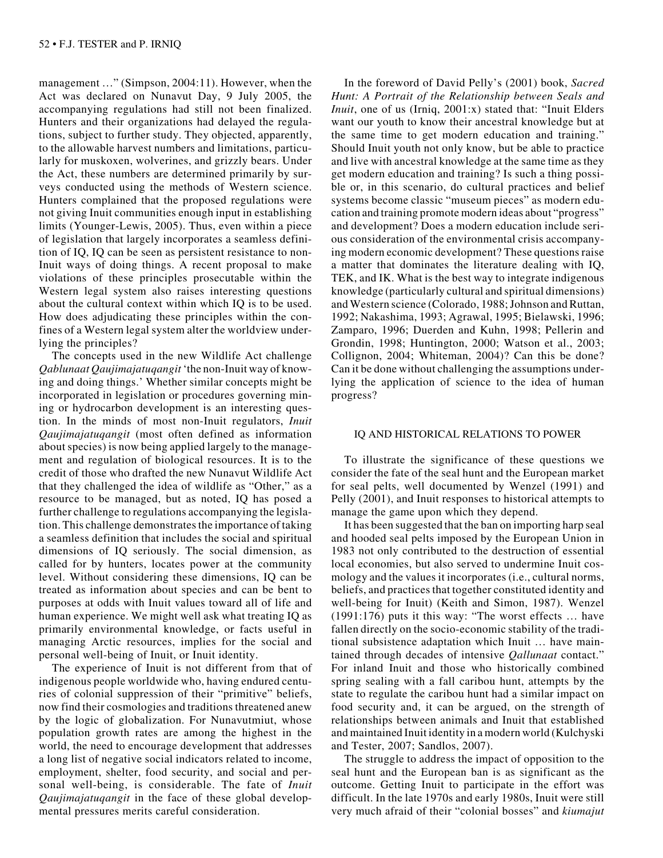management …" (Simpson, 2004:11). However, when the Act was declared on Nunavut Day, 9 July 2005, the accompanying regulations had still not been finalized. Hunters and their organizations had delayed the regulations, subject to further study. They objected, apparently, to the allowable harvest numbers and limitations, particularly for muskoxen, wolverines, and grizzly bears. Under the Act, these numbers are determined primarily by surveys conducted using the methods of Western science. Hunters complained that the proposed regulations were not giving Inuit communities enough input in establishing limits (Younger-Lewis, 2005). Thus, even within a piece of legislation that largely incorporates a seamless definition of IQ, IQ can be seen as persistent resistance to non-Inuit ways of doing things. A recent proposal to make violations of these principles prosecutable within the Western legal system also raises interesting questions about the cultural context within which IQ is to be used. How does adjudicating these principles within the confines of a Western legal system alter the worldview underlying the principles?

The concepts used in the new Wildlife Act challenge *Qablunaat Qaujimajatuqangit* 'the non-Inuit way of knowing and doing things.' Whether similar concepts might be incorporated in legislation or procedures governing mining or hydrocarbon development is an interesting question. In the minds of most non-Inuit regulators, *Inuit Qaujimajatuqangit* (most often defined as information about species) is now being applied largely to the management and regulation of biological resources. It is to the credit of those who drafted the new Nunavut Wildlife Act that they challenged the idea of wildlife as "Other," as a resource to be managed, but as noted, IQ has posed a further challenge to regulations accompanying the legislation. This challenge demonstrates the importance of taking a seamless definition that includes the social and spiritual dimensions of IQ seriously. The social dimension, as called for by hunters, locates power at the community level. Without considering these dimensions, IQ can be treated as information about species and can be bent to purposes at odds with Inuit values toward all of life and human experience. We might well ask what treating IQ as primarily environmental knowledge, or facts useful in managing Arctic resources, implies for the social and personal well-being of Inuit, or Inuit identity.

The experience of Inuit is not different from that of indigenous people worldwide who, having endured centuries of colonial suppression of their "primitive" beliefs, now find their cosmologies and traditions threatened anew by the logic of globalization. For Nunavutmiut, whose population growth rates are among the highest in the world, the need to encourage development that addresses a long list of negative social indicators related to income, employment, shelter, food security, and social and personal well-being, is considerable. The fate of *Inuit Qaujimajatuqangit* in the face of these global developmental pressures merits careful consideration.

In the foreword of David Pelly's (2001) book, *Sacred Hunt: A Portrait of the Relationship between Seals and Inuit*, one of us (Irniq, 2001:x) stated that: "Inuit Elders want our youth to know their ancestral knowledge but at the same time to get modern education and training." Should Inuit youth not only know, but be able to practice and live with ancestral knowledge at the same time as they get modern education and training? Is such a thing possible or, in this scenario, do cultural practices and belief systems become classic "museum pieces" as modern education and training promote modern ideas about "progress" and development? Does a modern education include serious consideration of the environmental crisis accompanying modern economic development? These questions raise a matter that dominates the literature dealing with IQ, TEK, and IK. What is the best way to integrate indigenous knowledge (particularly cultural and spiritual dimensions) and Western science (Colorado, 1988; Johnson and Ruttan, 1992; Nakashima, 1993; Agrawal, 1995; Bielawski, 1996; Zamparo, 1996; Duerden and Kuhn, 1998; Pellerin and Grondin, 1998; Huntington, 2000; Watson et al., 2003; Collignon, 2004; Whiteman, 2004)? Can this be done? Can it be done without challenging the assumptions underlying the application of science to the idea of human progress?

#### IQ AND HISTORICAL RELATIONS TO POWER

To illustrate the significance of these questions we consider the fate of the seal hunt and the European market for seal pelts, well documented by Wenzel (1991) and Pelly (2001), and Inuit responses to historical attempts to manage the game upon which they depend.

It has been suggested that the ban on importing harp seal and hooded seal pelts imposed by the European Union in 1983 not only contributed to the destruction of essential local economies, but also served to undermine Inuit cosmology and the values it incorporates (i.e., cultural norms, beliefs, and practices that together constituted identity and well-being for Inuit) (Keith and Simon, 1987). Wenzel (1991:176) puts it this way: "The worst effects … have fallen directly on the socio-economic stability of the traditional subsistence adaptation which Inuit … have maintained through decades of intensive *Qallunaat* contact." For inland Inuit and those who historically combined spring sealing with a fall caribou hunt, attempts by the state to regulate the caribou hunt had a similar impact on food security and, it can be argued, on the strength of relationships between animals and Inuit that established and maintained Inuit identity in a modern world (Kulchyski and Tester, 2007; Sandlos, 2007).

The struggle to address the impact of opposition to the seal hunt and the European ban is as significant as the outcome. Getting Inuit to participate in the effort was difficult. In the late 1970s and early 1980s, Inuit were still very much afraid of their "colonial bosses" and *kiumajut*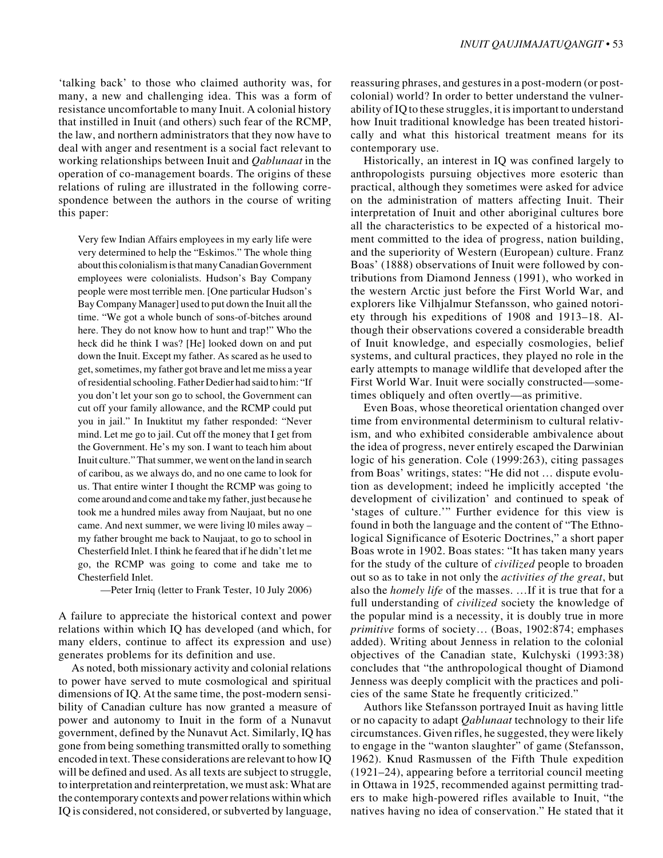'talking back' to those who claimed authority was, for many, a new and challenging idea. This was a form of resistance uncomfortable to many Inuit. A colonial history that instilled in Inuit (and others) such fear of the RCMP, the law, and northern administrators that they now have to deal with anger and resentment is a social fact relevant to working relationships between Inuit and *Qablunaat* in the operation of co-management boards. The origins of these relations of ruling are illustrated in the following correspondence between the authors in the course of writing this paper:

Very few Indian Affairs employees in my early life were very determined to help the "Eskimos." The whole thing about this colonialism is that many Canadian Government employees were colonialists. Hudson's Bay Company people were most terrible men. [One particular Hudson's Bay Company Manager] used to put down the Inuit all the time. "We got a whole bunch of sons-of-bitches around here. They do not know how to hunt and trap!" Who the heck did he think I was? [He] looked down on and put down the Inuit. Except my father. As scared as he used to get, sometimes, my father got brave and let me miss a year of residential schooling. Father Dedier had said to him: "If you don't let your son go to school, the Government can cut off your family allowance, and the RCMP could put you in jail." In Inuktitut my father responded: "Never mind. Let me go to jail. Cut off the money that I get from the Government. He's my son. I want to teach him about Inuit culture." That summer, we went on the land in search of caribou, as we always do, and no one came to look for us. That entire winter I thought the RCMP was going to come around and come and take my father, just because he took me a hundred miles away from Naujaat, but no one came. And next summer, we were living l0 miles away – my father brought me back to Naujaat, to go to school in Chesterfield Inlet. I think he feared that if he didn't let me go, the RCMP was going to come and take me to Chesterfield Inlet.

—Peter Irniq (letter to Frank Tester, 10 July 2006)

A failure to appreciate the historical context and power relations within which IQ has developed (and which, for many elders, continue to affect its expression and use) generates problems for its definition and use.

As noted, both missionary activity and colonial relations to power have served to mute cosmological and spiritual dimensions of IQ. At the same time, the post-modern sensibility of Canadian culture has now granted a measure of power and autonomy to Inuit in the form of a Nunavut government, defined by the Nunavut Act. Similarly, IQ has gone from being something transmitted orally to something encoded in text. These considerations are relevant to how IQ will be defined and used. As all texts are subject to struggle, to interpretation and reinterpretation, we must ask: What are the contemporary contexts and power relations within which IQ is considered, not considered, or subverted by language,

reassuring phrases, and gestures in a post-modern (or postcolonial) world? In order to better understand the vulnerability of IQ to these struggles, it is important to understand how Inuit traditional knowledge has been treated historically and what this historical treatment means for its contemporary use.

Historically, an interest in IQ was confined largely to anthropologists pursuing objectives more esoteric than practical, although they sometimes were asked for advice on the administration of matters affecting Inuit. Their interpretation of Inuit and other aboriginal cultures bore all the characteristics to be expected of a historical moment committed to the idea of progress, nation building, and the superiority of Western (European) culture. Franz Boas' (1888) observations of Inuit were followed by contributions from Diamond Jenness (1991), who worked in the western Arctic just before the First World War, and explorers like Vilhjalmur Stefansson, who gained notoriety through his expeditions of 1908 and 1913–18. Although their observations covered a considerable breadth of Inuit knowledge, and especially cosmologies, belief systems, and cultural practices, they played no role in the early attempts to manage wildlife that developed after the First World War. Inuit were socially constructed—sometimes obliquely and often overtly—as primitive.

Even Boas, whose theoretical orientation changed over time from environmental determinism to cultural relativism, and who exhibited considerable ambivalence about the idea of progress, never entirely escaped the Darwinian logic of his generation. Cole (1999:263), citing passages from Boas' writings, states: "He did not … dispute evolution as development; indeed he implicitly accepted 'the development of civilization' and continued to speak of 'stages of culture.'" Further evidence for this view is found in both the language and the content of "The Ethnological Significance of Esoteric Doctrines," a short paper Boas wrote in 1902. Boas states: "It has taken many years for the study of the culture of *civilized* people to broaden out so as to take in not only the *activities of the great*, but also the *homely life* of the masses. …If it is true that for a full understanding of *civilized* society the knowledge of the popular mind is a necessity, it is doubly true in more *primitive* forms of society… (Boas, 1902:874; emphases added). Writing about Jenness in relation to the colonial objectives of the Canadian state, Kulchyski (1993:38) concludes that "the anthropological thought of Diamond Jenness was deeply complicit with the practices and policies of the same State he frequently criticized."

Authors like Stefansson portrayed Inuit as having little or no capacity to adapt *Qablunaat* technology to their life circumstances. Given rifles, he suggested, they were likely to engage in the "wanton slaughter" of game (Stefansson, 1962). Knud Rasmussen of the Fifth Thule expedition (1921–24), appearing before a territorial council meeting in Ottawa in 1925, recommended against permitting traders to make high-powered rifles available to Inuit, "the natives having no idea of conservation." He stated that it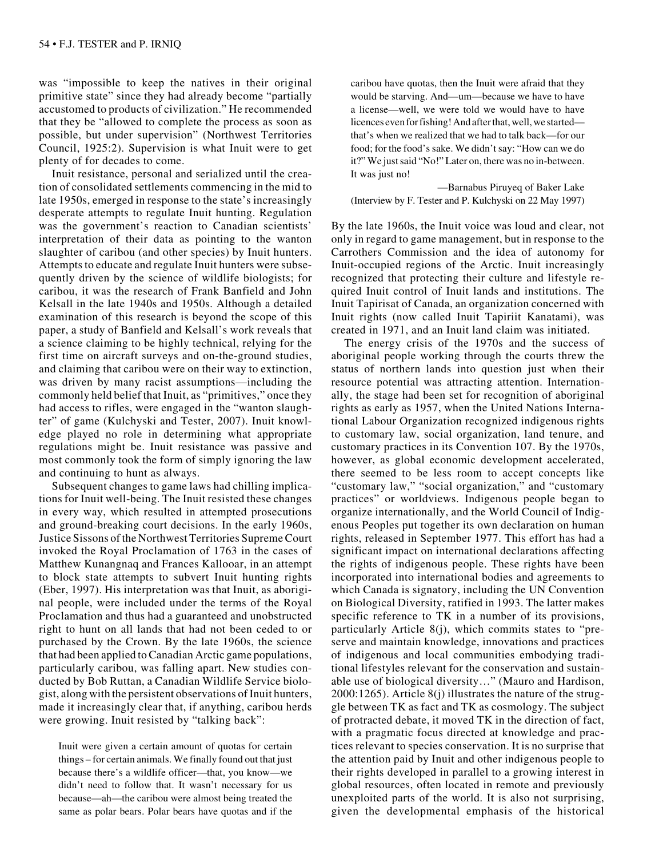was "impossible to keep the natives in their original primitive state" since they had already become "partially accustomed to products of civilization." He recommended that they be "allowed to complete the process as soon as possible, but under supervision" (Northwest Territories Council, 1925:2). Supervision is what Inuit were to get plenty of for decades to come.

Inuit resistance, personal and serialized until the creation of consolidated settlements commencing in the mid to late 1950s, emerged in response to the state's increasingly desperate attempts to regulate Inuit hunting. Regulation was the government's reaction to Canadian scientists' interpretation of their data as pointing to the wanton slaughter of caribou (and other species) by Inuit hunters. Attempts to educate and regulate Inuit hunters were subsequently driven by the science of wildlife biologists; for caribou, it was the research of Frank Banfield and John Kelsall in the late 1940s and 1950s. Although a detailed examination of this research is beyond the scope of this paper, a study of Banfield and Kelsall's work reveals that a science claiming to be highly technical, relying for the first time on aircraft surveys and on-the-ground studies, and claiming that caribou were on their way to extinction, was driven by many racist assumptions—including the commonly held belief that Inuit, as "primitives," once they had access to rifles, were engaged in the "wanton slaughter" of game (Kulchyski and Tester, 2007). Inuit knowledge played no role in determining what appropriate regulations might be. Inuit resistance was passive and most commonly took the form of simply ignoring the law and continuing to hunt as always.

Subsequent changes to game laws had chilling implications for Inuit well-being. The Inuit resisted these changes in every way, which resulted in attempted prosecutions and ground-breaking court decisions. In the early 1960s, Justice Sissons of the Northwest Territories Supreme Court invoked the Royal Proclamation of 1763 in the cases of Matthew Kunangnaq and Frances Kallooar, in an attempt to block state attempts to subvert Inuit hunting rights (Eber, 1997). His interpretation was that Inuit, as aboriginal people, were included under the terms of the Royal Proclamation and thus had a guaranteed and unobstructed right to hunt on all lands that had not been ceded to or purchased by the Crown. By the late 1960s, the science that had been applied to Canadian Arctic game populations, particularly caribou, was falling apart. New studies conducted by Bob Ruttan, a Canadian Wildlife Service biologist, along with the persistent observations of Inuit hunters, made it increasingly clear that, if anything, caribou herds were growing. Inuit resisted by "talking back":

Inuit were given a certain amount of quotas for certain things – for certain animals. We finally found out that just because there's a wildlife officer—that, you know—we didn't need to follow that. It wasn't necessary for us because—ah—the caribou were almost being treated the same as polar bears. Polar bears have quotas and if the caribou have quotas, then the Inuit were afraid that they would be starving. And—um—because we have to have a license—well, we were told we would have to have licences even for fishing! And after that, well, we started that's when we realized that we had to talk back—for our food; for the food's sake. We didn't say: "How can we do it?" We just said "No!" Later on, there was no in-between. It was just no!

—Barnabus Piruyeq of Baker Lake (Interview by F. Tester and P. Kulchyski on 22 May 1997)

By the late 1960s, the Inuit voice was loud and clear, not only in regard to game management, but in response to the Carrothers Commission and the idea of autonomy for Inuit-occupied regions of the Arctic. Inuit increasingly recognized that protecting their culture and lifestyle required Inuit control of Inuit lands and institutions. The Inuit Tapirisat of Canada, an organization concerned with Inuit rights (now called Inuit Tapiriit Kanatami), was created in 1971, and an Inuit land claim was initiated.

The energy crisis of the 1970s and the success of aboriginal people working through the courts threw the status of northern lands into question just when their resource potential was attracting attention. Internationally, the stage had been set for recognition of aboriginal rights as early as 1957, when the United Nations International Labour Organization recognized indigenous rights to customary law, social organization, land tenure, and customary practices in its Convention 107. By the 1970s, however, as global economic development accelerated, there seemed to be less room to accept concepts like "customary law," "social organization," and "customary practices" or worldviews. Indigenous people began to organize internationally, and the World Council of Indigenous Peoples put together its own declaration on human rights, released in September 1977. This effort has had a significant impact on international declarations affecting the rights of indigenous people. These rights have been incorporated into international bodies and agreements to which Canada is signatory, including the UN Convention on Biological Diversity, ratified in 1993. The latter makes specific reference to TK in a number of its provisions, particularly Article 8(j), which commits states to "preserve and maintain knowledge, innovations and practices of indigenous and local communities embodying traditional lifestyles relevant for the conservation and sustainable use of biological diversity…" (Mauro and Hardison, 2000:1265). Article 8(j) illustrates the nature of the struggle between TK as fact and TK as cosmology. The subject of protracted debate, it moved TK in the direction of fact, with a pragmatic focus directed at knowledge and practices relevant to species conservation. It is no surprise that the attention paid by Inuit and other indigenous people to their rights developed in parallel to a growing interest in global resources, often located in remote and previously unexploited parts of the world. It is also not surprising, given the developmental emphasis of the historical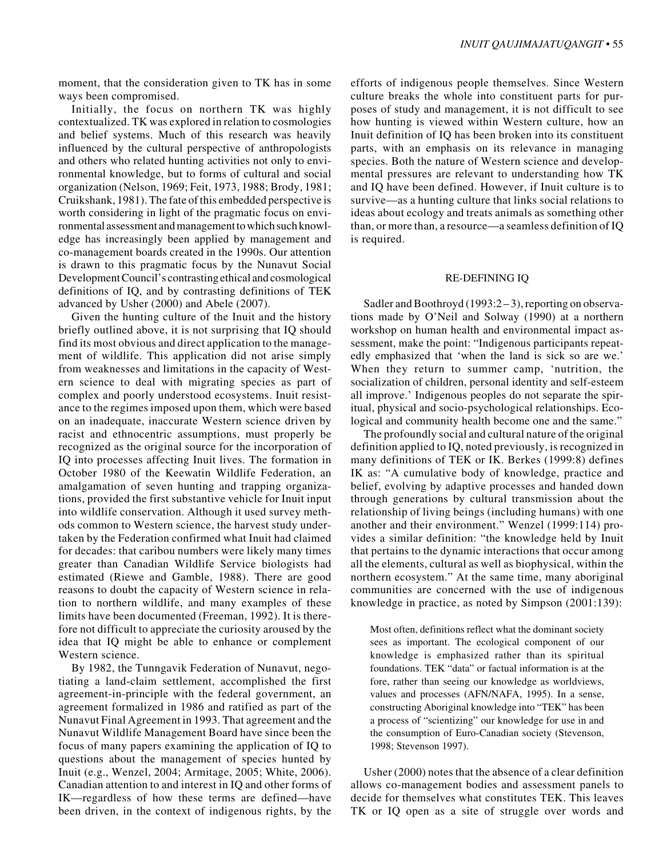moment, that the consideration given to TK has in some ways been compromised.

Initially, the focus on northern TK was highly contextualized. TK was explored in relation to cosmologies and belief systems. Much of this research was heavily influenced by the cultural perspective of anthropologists and others who related hunting activities not only to environmental knowledge, but to forms of cultural and social organization (Nelson, 1969; Feit, 1973, 1988; Brody, 1981; Cruikshank, 1981). The fate of this embedded perspective is worth considering in light of the pragmatic focus on environmental assessment and management to which such knowledge has increasingly been applied by management and co-management boards created in the 1990s. Our attention is drawn to this pragmatic focus by the Nunavut Social Development Council's contrasting ethical and cosmological definitions of IQ, and by contrasting definitions of TEK advanced by Usher (2000) and Abele (2007).

Given the hunting culture of the Inuit and the history briefly outlined above, it is not surprising that IQ should find its most obvious and direct application to the management of wildlife. This application did not arise simply from weaknesses and limitations in the capacity of Western science to deal with migrating species as part of complex and poorly understood ecosystems. Inuit resistance to the regimes imposed upon them, which were based on an inadequate, inaccurate Western science driven by racist and ethnocentric assumptions, must properly be recognized as the original source for the incorporation of IQ into processes affecting Inuit lives. The formation in October 1980 of the Keewatin Wildlife Federation, an amalgamation of seven hunting and trapping organizations, provided the first substantive vehicle for Inuit input into wildlife conservation. Although it used survey methods common to Western science, the harvest study undertaken by the Federation confirmed what Inuit had claimed for decades: that caribou numbers were likely many times greater than Canadian Wildlife Service biologists had estimated (Riewe and Gamble, 1988). There are good reasons to doubt the capacity of Western science in relation to northern wildlife, and many examples of these limits have been documented (Freeman, 1992). It is therefore not difficult to appreciate the curiosity aroused by the idea that IQ might be able to enhance or complement Western science.

By 1982, the Tunngavik Federation of Nunavut, negotiating a land-claim settlement, accomplished the first agreement-in-principle with the federal government, an agreement formalized in 1986 and ratified as part of the Nunavut Final Agreement in 1993. That agreement and the Nunavut Wildlife Management Board have since been the focus of many papers examining the application of IQ to questions about the management of species hunted by Inuit (e.g., Wenzel, 2004; Armitage, 2005; White, 2006). Canadian attention to and interest in IQ and other forms of IK—regardless of how these terms are defined—have been driven, in the context of indigenous rights, by the

efforts of indigenous people themselves. Since Western culture breaks the whole into constituent parts for purposes of study and management, it is not difficult to see how hunting is viewed within Western culture, how an Inuit definition of IQ has been broken into its constituent parts, with an emphasis on its relevance in managing species. Both the nature of Western science and developmental pressures are relevant to understanding how TK and IQ have been defined. However, if Inuit culture is to survive—as a hunting culture that links social relations to ideas about ecology and treats animals as something other than, or more than, a resource—a seamless definition of IQ is required.

#### RE-DEFINING IQ

Sadler and Boothroyd (1993:2-3), reporting on observations made by O'Neil and Solway (1990) at a northern workshop on human health and environmental impact assessment, make the point: "Indigenous participants repeatedly emphasized that 'when the land is sick so are we.' When they return to summer camp, 'nutrition, the socialization of children, personal identity and self-esteem all improve.' Indigenous peoples do not separate the spiritual, physical and socio-psychological relationships. Ecological and community health become one and the same."

The profoundly social and cultural nature of the original definition applied to IQ, noted previously, is recognized in many definitions of TEK or IK. Berkes (1999:8) defines IK as: "A cumulative body of knowledge, practice and belief, evolving by adaptive processes and handed down through generations by cultural transmission about the relationship of living beings (including humans) with one another and their environment." Wenzel (1999:114) provides a similar definition: "the knowledge held by Inuit that pertains to the dynamic interactions that occur among all the elements, cultural as well as biophysical, within the northern ecosystem." At the same time, many aboriginal communities are concerned with the use of indigenous knowledge in practice, as noted by Simpson (2001:139):

Most often, definitions reflect what the dominant society sees as important. The ecological component of our knowledge is emphasized rather than its spiritual foundations. TEK "data" or factual information is at the fore, rather than seeing our knowledge as worldviews, values and processes (AFN/NAFA, 1995). In a sense, constructing Aboriginal knowledge into "TEK" has been a process of "scientizing" our knowledge for use in and the consumption of Euro-Canadian society (Stevenson, 1998; Stevenson 1997).

Usher (2000) notes that the absence of a clear definition allows co-management bodies and assessment panels to decide for themselves what constitutes TEK. This leaves TK or IQ open as a site of struggle over words and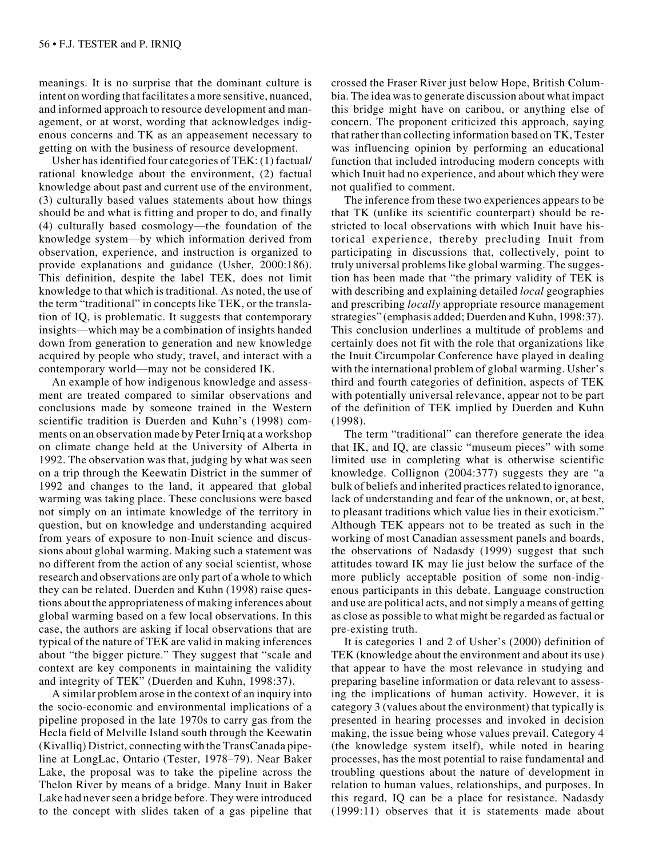meanings. It is no surprise that the dominant culture is intent on wording that facilitates a more sensitive, nuanced, and informed approach to resource development and management, or at worst, wording that acknowledges indigenous concerns and TK as an appeasement necessary to getting on with the business of resource development.

Usher has identified four categories of TEK: (1) factual/ rational knowledge about the environment, (2) factual knowledge about past and current use of the environment, (3) culturally based values statements about how things should be and what is fitting and proper to do, and finally (4) culturally based cosmology—the foundation of the knowledge system—by which information derived from observation, experience, and instruction is organized to provide explanations and guidance (Usher, 2000:186). This definition, despite the label TEK, does not limit knowledge to that which is traditional. As noted, the use of the term "traditional" in concepts like TEK, or the translation of IQ, is problematic. It suggests that contemporary insights—which may be a combination of insights handed down from generation to generation and new knowledge acquired by people who study, travel, and interact with a contemporary world—may not be considered IK.

An example of how indigenous knowledge and assessment are treated compared to similar observations and conclusions made by someone trained in the Western scientific tradition is Duerden and Kuhn's (1998) comments on an observation made by Peter Irniq at a workshop on climate change held at the University of Alberta in 1992. The observation was that, judging by what was seen on a trip through the Keewatin District in the summer of 1992 and changes to the land, it appeared that global warming was taking place. These conclusions were based not simply on an intimate knowledge of the territory in question, but on knowledge and understanding acquired from years of exposure to non-Inuit science and discussions about global warming. Making such a statement was no different from the action of any social scientist, whose research and observations are only part of a whole to which they can be related. Duerden and Kuhn (1998) raise questions about the appropriateness of making inferences about global warming based on a few local observations. In this case, the authors are asking if local observations that are typical of the nature of TEK are valid in making inferences about "the bigger picture." They suggest that "scale and context are key components in maintaining the validity and integrity of TEK" (Duerden and Kuhn, 1998:37).

A similar problem arose in the context of an inquiry into the socio-economic and environmental implications of a pipeline proposed in the late 1970s to carry gas from the Hecla field of Melville Island south through the Keewatin (Kivalliq) District, connecting with the TransCanada pipeline at LongLac, Ontario (Tester, 1978–79). Near Baker Lake, the proposal was to take the pipeline across the Thelon River by means of a bridge. Many Inuit in Baker Lake had never seen a bridge before. They were introduced to the concept with slides taken of a gas pipeline that crossed the Fraser River just below Hope, British Columbia. The idea was to generate discussion about what impact this bridge might have on caribou, or anything else of concern. The proponent criticized this approach, saying that rather than collecting information based on TK, Tester was influencing opinion by performing an educational function that included introducing modern concepts with which Inuit had no experience, and about which they were not qualified to comment.

The inference from these two experiences appears to be that TK (unlike its scientific counterpart) should be restricted to local observations with which Inuit have historical experience, thereby precluding Inuit from participating in discussions that, collectively, point to truly universal problems like global warming. The suggestion has been made that "the primary validity of TEK is with describing and explaining detailed *local* geographies and prescribing *locally* appropriate resource management strategies" (emphasis added; Duerden and Kuhn, 1998:37). This conclusion underlines a multitude of problems and certainly does not fit with the role that organizations like the Inuit Circumpolar Conference have played in dealing with the international problem of global warming. Usher's third and fourth categories of definition, aspects of TEK with potentially universal relevance, appear not to be part of the definition of TEK implied by Duerden and Kuhn (1998).

The term "traditional" can therefore generate the idea that IK, and IQ, are classic "museum pieces" with some limited use in completing what is otherwise scientific knowledge. Collignon (2004:377) suggests they are "a bulk of beliefs and inherited practices related to ignorance, lack of understanding and fear of the unknown, or, at best, to pleasant traditions which value lies in their exoticism." Although TEK appears not to be treated as such in the working of most Canadian assessment panels and boards, the observations of Nadasdy (1999) suggest that such attitudes toward IK may lie just below the surface of the more publicly acceptable position of some non-indigenous participants in this debate. Language construction and use are political acts, and not simply a means of getting as close as possible to what might be regarded as factual or pre-existing truth.

It is categories 1 and 2 of Usher's (2000) definition of TEK (knowledge about the environment and about its use) that appear to have the most relevance in studying and preparing baseline information or data relevant to assessing the implications of human activity. However, it is category 3 (values about the environment) that typically is presented in hearing processes and invoked in decision making, the issue being whose values prevail. Category 4 (the knowledge system itself), while noted in hearing processes, has the most potential to raise fundamental and troubling questions about the nature of development in relation to human values, relationships, and purposes. In this regard, IQ can be a place for resistance. Nadasdy (1999:11) observes that it is statements made about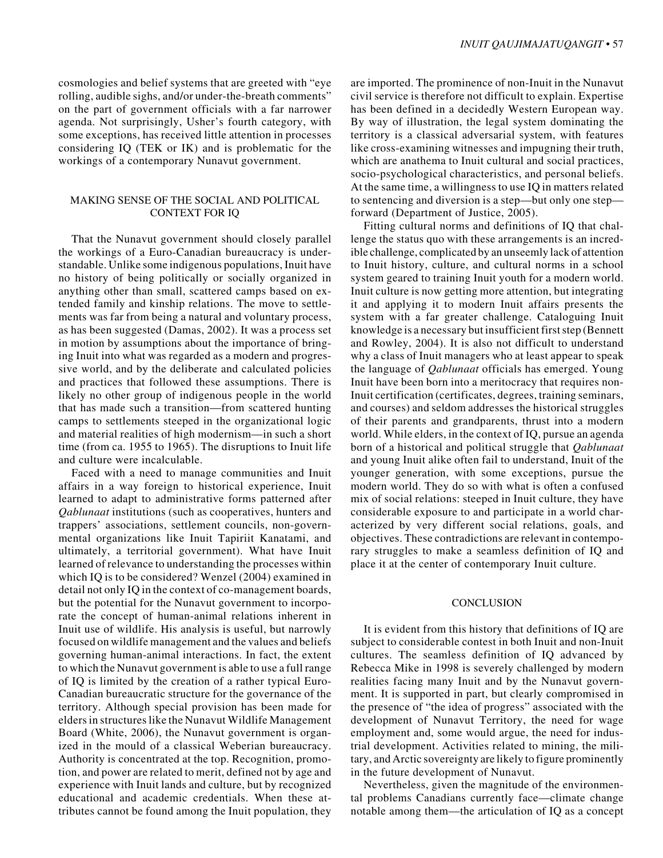cosmologies and belief systems that are greeted with "eye rolling, audible sighs, and/or under-the-breath comments" on the part of government officials with a far narrower agenda. Not surprisingly, Usher's fourth category, with some exceptions, has received little attention in processes considering IQ (TEK or IK) and is problematic for the workings of a contemporary Nunavut government.

## MAKING SENSE OF THE SOCIAL AND POLITICAL CONTEXT FOR IQ

That the Nunavut government should closely parallel the workings of a Euro-Canadian bureaucracy is understandable. Unlike some indigenous populations, Inuit have no history of being politically or socially organized in anything other than small, scattered camps based on extended family and kinship relations. The move to settlements was far from being a natural and voluntary process, as has been suggested (Damas, 2002). It was a process set in motion by assumptions about the importance of bringing Inuit into what was regarded as a modern and progressive world, and by the deliberate and calculated policies and practices that followed these assumptions. There is likely no other group of indigenous people in the world that has made such a transition—from scattered hunting camps to settlements steeped in the organizational logic and material realities of high modernism—in such a short time (from ca. 1955 to 1965). The disruptions to Inuit life and culture were incalculable.

Faced with a need to manage communities and Inuit affairs in a way foreign to historical experience, Inuit learned to adapt to administrative forms patterned after *Qablunaat* institutions (such as cooperatives, hunters and trappers' associations, settlement councils, non-governmental organizations like Inuit Tapiriit Kanatami, and ultimately, a territorial government). What have Inuit learned of relevance to understanding the processes within which IQ is to be considered? Wenzel (2004) examined in detail not only IQ in the context of co-management boards, but the potential for the Nunavut government to incorporate the concept of human-animal relations inherent in Inuit use of wildlife. His analysis is useful, but narrowly focused on wildlife management and the values and beliefs governing human-animal interactions. In fact, the extent to which the Nunavut government is able to use a full range of IQ is limited by the creation of a rather typical Euro-Canadian bureaucratic structure for the governance of the territory. Although special provision has been made for elders in structures like the Nunavut Wildlife Management Board (White, 2006), the Nunavut government is organized in the mould of a classical Weberian bureaucracy. Authority is concentrated at the top. Recognition, promotion, and power are related to merit, defined not by age and experience with Inuit lands and culture, but by recognized educational and academic credentials. When these attributes cannot be found among the Inuit population, they

are imported. The prominence of non-Inuit in the Nunavut civil service is therefore not difficult to explain. Expertise has been defined in a decidedly Western European way. By way of illustration, the legal system dominating the territory is a classical adversarial system, with features like cross-examining witnesses and impugning their truth, which are anathema to Inuit cultural and social practices, socio-psychological characteristics, and personal beliefs. At the same time, a willingness to use IQ in matters related to sentencing and diversion is a step—but only one step forward (Department of Justice, 2005).

Fitting cultural norms and definitions of IQ that challenge the status quo with these arrangements is an incredible challenge, complicated by an unseemly lack of attention to Inuit history, culture, and cultural norms in a school system geared to training Inuit youth for a modern world. Inuit culture is now getting more attention, but integrating it and applying it to modern Inuit affairs presents the system with a far greater challenge. Cataloguing Inuit knowledge is a necessary but insufficient first step (Bennett and Rowley, 2004). It is also not difficult to understand why a class of Inuit managers who at least appear to speak the language of *Qablunaat* officials has emerged. Young Inuit have been born into a meritocracy that requires non-Inuit certification (certificates, degrees, training seminars, and courses) and seldom addresses the historical struggles of their parents and grandparents, thrust into a modern world. While elders, in the context of IQ, pursue an agenda born of a historical and political struggle that *Qablunaat* and young Inuit alike often fail to understand, Inuit of the younger generation, with some exceptions, pursue the modern world. They do so with what is often a confused mix of social relations: steeped in Inuit culture, they have considerable exposure to and participate in a world characterized by very different social relations, goals, and objectives. These contradictions are relevant in contemporary struggles to make a seamless definition of IQ and place it at the center of contemporary Inuit culture.

#### **CONCLUSION**

It is evident from this history that definitions of IQ are subject to considerable contest in both Inuit and non-Inuit cultures. The seamless definition of IQ advanced by Rebecca Mike in 1998 is severely challenged by modern realities facing many Inuit and by the Nunavut government. It is supported in part, but clearly compromised in the presence of "the idea of progress" associated with the development of Nunavut Territory, the need for wage employment and, some would argue, the need for industrial development. Activities related to mining, the military, and Arctic sovereignty are likely to figure prominently in the future development of Nunavut.

Nevertheless, given the magnitude of the environmental problems Canadians currently face—climate change notable among them—the articulation of IQ as a concept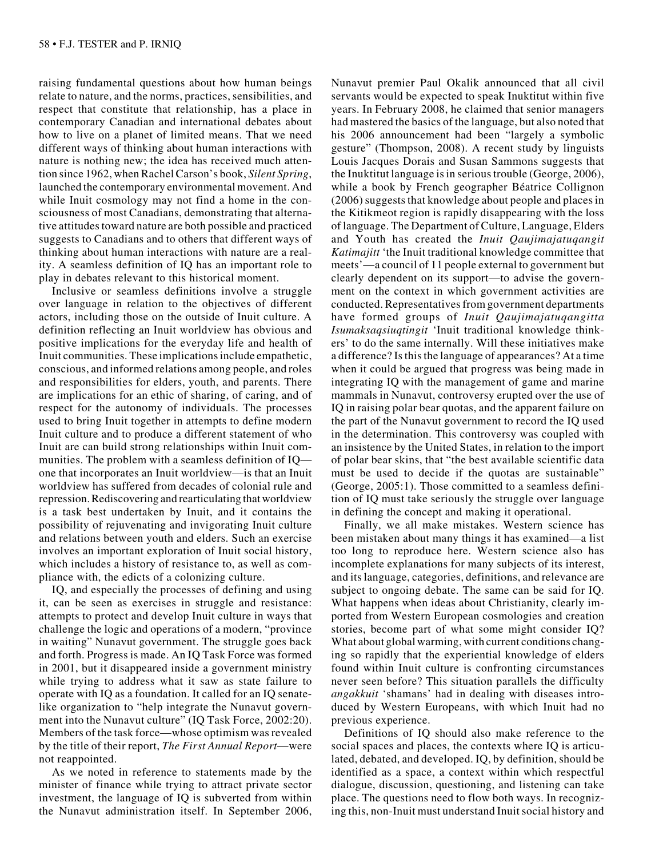raising fundamental questions about how human beings relate to nature, and the norms, practices, sensibilities, and respect that constitute that relationship, has a place in contemporary Canadian and international debates about how to live on a planet of limited means. That we need different ways of thinking about human interactions with nature is nothing new; the idea has received much attention since 1962, when Rachel Carson's book, *Silent Spring*, launched the contemporary environmental movement. And while Inuit cosmology may not find a home in the consciousness of most Canadians, demonstrating that alternative attitudes toward nature are both possible and practiced suggests to Canadians and to others that different ways of thinking about human interactions with nature are a reality. A seamless definition of IQ has an important role to play in debates relevant to this historical moment.

Inclusive or seamless definitions involve a struggle over language in relation to the objectives of different actors, including those on the outside of Inuit culture. A definition reflecting an Inuit worldview has obvious and positive implications for the everyday life and health of Inuit communities. These implications include empathetic, conscious, and informed relations among people, and roles and responsibilities for elders, youth, and parents. There are implications for an ethic of sharing, of caring, and of respect for the autonomy of individuals. The processes used to bring Inuit together in attempts to define modern Inuit culture and to produce a different statement of who Inuit are can build strong relationships within Inuit communities. The problem with a seamless definition of IQ one that incorporates an Inuit worldview—is that an Inuit worldview has suffered from decades of colonial rule and repression. Rediscovering and rearticulating that worldview is a task best undertaken by Inuit, and it contains the possibility of rejuvenating and invigorating Inuit culture and relations between youth and elders. Such an exercise involves an important exploration of Inuit social history, which includes a history of resistance to, as well as compliance with, the edicts of a colonizing culture.

IQ, and especially the processes of defining and using it, can be seen as exercises in struggle and resistance: attempts to protect and develop Inuit culture in ways that challenge the logic and operations of a modern, "province in waiting" Nunavut government. The struggle goes back and forth. Progress is made. An IQ Task Force was formed in 2001, but it disappeared inside a government ministry while trying to address what it saw as state failure to operate with IQ as a foundation. It called for an IQ senatelike organization to "help integrate the Nunavut government into the Nunavut culture" (IQ Task Force, 2002:20). Members of the task force—whose optimism was revealed by the title of their report, *The First Annual Report*—were not reappointed.

As we noted in reference to statements made by the minister of finance while trying to attract private sector investment, the language of IQ is subverted from within the Nunavut administration itself. In September 2006,

Nunavut premier Paul Okalik announced that all civil servants would be expected to speak Inuktitut within five years. In February 2008, he claimed that senior managers had mastered the basics of the language, but also noted that his 2006 announcement had been "largely a symbolic gesture" (Thompson, 2008). A recent study by linguists Louis Jacques Dorais and Susan Sammons suggests that the Inuktitut language is in serious trouble (George, 2006), while a book by French geographer Béatrice Collignon (2006) suggests that knowledge about people and places in the Kitikmeot region is rapidly disappearing with the loss of language. The Department of Culture, Language, Elders and Youth has created the *Inuit Qaujimajatuqangit Katimajitt* 'the Inuit traditional knowledge committee that meets'—a council of 11 people external to government but clearly dependent on its support—to advise the government on the context in which government activities are conducted. Representatives from government departments have formed groups of *Inuit Qaujimajatuqangitta Isumaksaqsiuqtingit* 'Inuit traditional knowledge thinkers' to do the same internally. Will these initiatives make a difference? Is this the language of appearances? At a time when it could be argued that progress was being made in integrating IQ with the management of game and marine mammals in Nunavut, controversy erupted over the use of IQ in raising polar bear quotas, and the apparent failure on the part of the Nunavut government to record the IQ used in the determination. This controversy was coupled with an insistence by the United States, in relation to the import of polar bear skins, that "the best available scientific data must be used to decide if the quotas are sustainable" (George, 2005:1). Those committed to a seamless definition of IQ must take seriously the struggle over language in defining the concept and making it operational.

Finally, we all make mistakes. Western science has been mistaken about many things it has examined—a list too long to reproduce here. Western science also has incomplete explanations for many subjects of its interest, and its language, categories, definitions, and relevance are subject to ongoing debate. The same can be said for IQ. What happens when ideas about Christianity, clearly imported from Western European cosmologies and creation stories, become part of what some might consider IQ? What about global warming, with current conditions changing so rapidly that the experiential knowledge of elders found within Inuit culture is confronting circumstances never seen before? This situation parallels the difficulty *angakkuit* 'shamans' had in dealing with diseases introduced by Western Europeans, with which Inuit had no previous experience.

Definitions of IQ should also make reference to the social spaces and places, the contexts where IQ is articulated, debated, and developed. IQ, by definition, should be identified as a space, a context within which respectful dialogue, discussion, questioning, and listening can take place. The questions need to flow both ways. In recognizing this, non-Inuit must understand Inuit social history and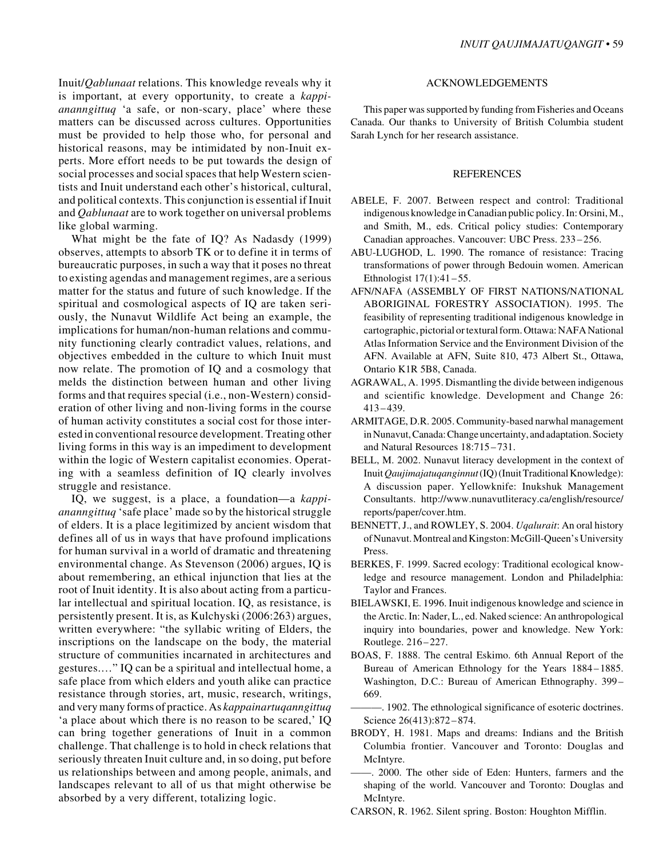Inuit/*Qablunaat* relations. This knowledge reveals why it is important, at every opportunity, to create a *kappiananngittuq* 'a safe, or non-scary, place' where these matters can be discussed across cultures. Opportunities must be provided to help those who, for personal and historical reasons, may be intimidated by non-Inuit experts. More effort needs to be put towards the design of social processes and social spaces that help Western scientists and Inuit understand each other's historical, cultural, and political contexts. This conjunction is essential if Inuit and *Qablunaat* are to work together on universal problems like global warming.

What might be the fate of IQ? As Nadasdy (1999) observes, attempts to absorb TK or to define it in terms of bureaucratic purposes, in such a way that it poses no threat to existing agendas and management regimes, are a serious matter for the status and future of such knowledge. If the spiritual and cosmological aspects of IQ are taken seriously, the Nunavut Wildlife Act being an example, the implications for human/non-human relations and community functioning clearly contradict values, relations, and objectives embedded in the culture to which Inuit must now relate. The promotion of IQ and a cosmology that melds the distinction between human and other living forms and that requires special (i.e., non-Western) consideration of other living and non-living forms in the course of human activity constitutes a social cost for those interested in conventional resource development. Treating other living forms in this way is an impediment to development within the logic of Western capitalist economies. Operating with a seamless definition of IQ clearly involves struggle and resistance.

IQ, we suggest, is a place, a foundation—a *kappiananngittuq* 'safe place' made so by the historical struggle of elders. It is a place legitimized by ancient wisdom that defines all of us in ways that have profound implications for human survival in a world of dramatic and threatening environmental change. As Stevenson (2006) argues, IQ is about remembering, an ethical injunction that lies at the root of Inuit identity. It is also about acting from a particular intellectual and spiritual location. IQ, as resistance, is persistently present. It is, as Kulchyski (2006:263) argues, written everywhere: "the syllabic writing of Elders, the inscriptions on the landscape on the body, the material structure of communities incarnated in architectures and gestures.…" IQ can be a spiritual and intellectual home, a safe place from which elders and youth alike can practice resistance through stories, art, music, research, writings, and very many forms of practice. As *kappainartuqanngittuq* 'a place about which there is no reason to be scared,' IQ can bring together generations of Inuit in a common challenge. That challenge is to hold in check relations that seriously threaten Inuit culture and, in so doing, put before us relationships between and among people, animals, and landscapes relevant to all of us that might otherwise be absorbed by a very different, totalizing logic.

## ACKNOWLEDGEMENTS

This paper was supported by funding from Fisheries and Oceans Canada. Our thanks to University of British Columbia student Sarah Lynch for her research assistance.

#### REFERENCES

- ABELE, F. 2007. Between respect and control: Traditional indigenous knowledge in Canadian public policy. In: Orsini, M., and Smith, M., eds. Critical policy studies: Contemporary Canadian approaches. Vancouver: UBC Press. 233–256.
- ABU-LUGHOD, L. 1990. The romance of resistance: Tracing transformations of power through Bedouin women. American Ethnologist 17(1):41–55.
- AFN/NAFA (ASSEMBLY OF FIRST NATIONS/NATIONAL ABORIGINAL FORESTRY ASSOCIATION). 1995. The feasibility of representing traditional indigenous knowledge in cartographic, pictorial or textural form. Ottawa: NAFA National Atlas Information Service and the Environment Division of the AFN. Available at AFN, Suite 810, 473 Albert St., Ottawa, Ontario K1R 5B8, Canada.
- AGRAWAL, A. 1995. Dismantling the divide between indigenous and scientific knowledge. Development and Change 26: 413–439.
- ARMITAGE, D.R. 2005. Community-based narwhal management in Nunavut, Canada: Change uncertainty, and adaptation. Society and Natural Resources 18:715 – 731.
- BELL, M. 2002. Nunavut literacy development in the context of Inuit *Qaujimajatuqanginnut* (IQ) (Inuit Traditional Knowledge): A discussion paper. Yellowknife: Inukshuk Management Consultants. http://www.nunavutliteracy.ca/english/resource/ reports/paper/cover.htm.
- BENNETT, J., and ROWLEY, S. 2004. *Uqalurait*: An oral history of Nunavut. Montreal and Kingston: McGill-Queen's University Press.
- BERKES, F. 1999. Sacred ecology: Traditional ecological knowledge and resource management. London and Philadelphia: Taylor and Frances.
- BIELAWSKI, E. 1996. Inuit indigenous knowledge and science in the Arctic. In: Nader, L., ed. Naked science: An anthropological inquiry into boundaries, power and knowledge. New York: Routlege. 216–227.
- BOAS, F. 1888. The central Eskimo. 6th Annual Report of the Bureau of American Ethnology for the Years 1884–1885. Washington, D.C.: Bureau of American Ethnography. 399– 669.
- ———. 1902. The ethnological significance of esoteric doctrines. Science 26(413):872-874.
- BRODY, H. 1981. Maps and dreams: Indians and the British Columbia frontier. Vancouver and Toronto: Douglas and McIntyre.

——. 2000. The other side of Eden: Hunters, farmers and the shaping of the world. Vancouver and Toronto: Douglas and McIntyre.

CARSON, R. 1962. Silent spring. Boston: Houghton Mifflin.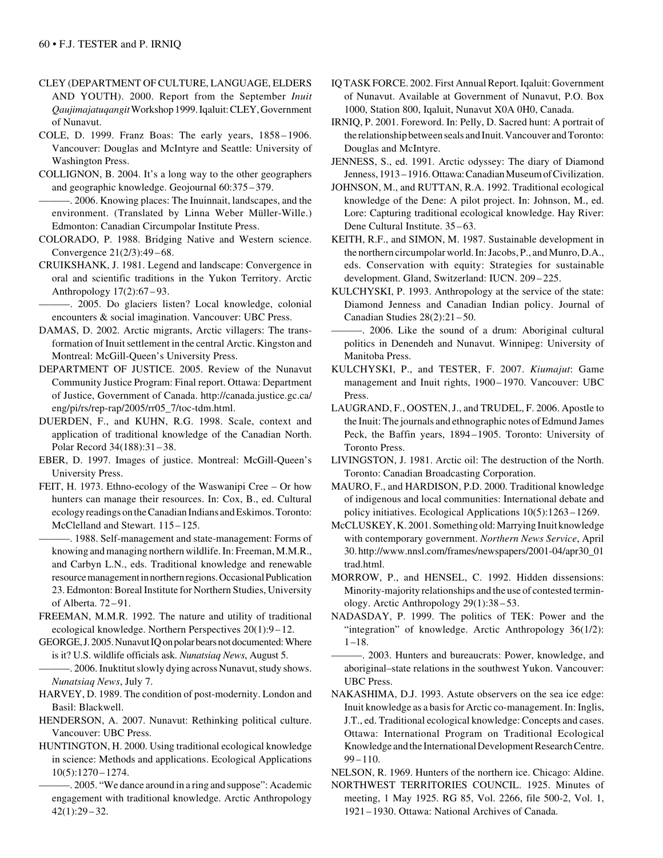- CLEY (DEPARTMENT OF CULTURE, LANGUAGE, ELDERS AND YOUTH). 2000. Report from the September *Inuit Qaujimajatuqangit* Workshop 1999. Iqaluit: CLEY, Government of Nunavut.
- COLE, D. 1999. Franz Boas: The early years, 1858–1906. Vancouver: Douglas and McIntyre and Seattle: University of Washington Press.
- COLLIGNON, B. 2004. It's a long way to the other geographers and geographic knowledge. Geojournal 60:375–379.
- ———. 2006. Knowing places: The Inuinnait, landscapes, and the environment. (Translated by Linna Weber Müller-Wille.) Edmonton: Canadian Circumpolar Institute Press.
- COLORADO, P. 1988. Bridging Native and Western science. Convergence 21(2/3):49–68.
- CRUIKSHANK, J. 1981. Legend and landscape: Convergence in oral and scientific traditions in the Yukon Territory. Arctic Anthropology 17(2):67 – 93.
- ———. 2005. Do glaciers listen? Local knowledge, colonial encounters & social imagination. Vancouver: UBC Press.
- DAMAS, D. 2002. Arctic migrants, Arctic villagers: The transformation of Inuit settlement in the central Arctic. Kingston and Montreal: McGill-Queen's University Press.
- DEPARTMENT OF JUSTICE. 2005. Review of the Nunavut Community Justice Program: Final report. Ottawa: Department of Justice, Government of Canada. http://canada.justice.gc.ca/ eng/pi/rs/rep-rap/2005/rr05\_7/toc-tdm.html.
- DUERDEN, F., and KUHN, R.G. 1998. Scale, context and application of traditional knowledge of the Canadian North. Polar Record 34(188):31–38.
- EBER, D. 1997. Images of justice. Montreal: McGill-Queen's University Press.
- FEIT, H. 1973. Ethno-ecology of the Waswanipi Cree Or how hunters can manage their resources. In: Cox, B., ed. Cultural ecology readings on the Canadian Indians and Eskimos. Toronto: McClelland and Stewart. 115–125.
	- ———. 1988. Self-management and state-management: Forms of knowing and managing northern wildlife. In: Freeman, M.M.R., and Carbyn L.N., eds. Traditional knowledge and renewable resource management in northern regions. Occasional Publication 23. Edmonton: Boreal Institute for Northern Studies, University of Alberta. 72 – 91.
- FREEMAN, M.M.R. 1992. The nature and utility of traditional ecological knowledge. Northern Perspectives 20(1):9 –12.
- GEORGE, J. 2005. Nunavut IQ on polar bears not documented: Where is it? U.S. wildlife officials ask. *Nunatsiaq News*, August 5.
- -. 2006. Inuktitut slowly dying across Nunavut, study shows. *Nunatsiaq News*, July 7.
- HARVEY, D. 1989. The condition of post-modernity. London and Basil: Blackwell.
- HENDERSON, A. 2007. Nunavut: Rethinking political culture. Vancouver: UBC Press.
- HUNTINGTON, H. 2000. Using traditional ecological knowledge in science: Methods and applications. Ecological Applications 10(5):1270– 1274.
	- -. 2005. "We dance around in a ring and suppose": Academic engagement with traditional knowledge. Arctic Anthropology  $42(1):29-32.$
- IQ TASK FORCE. 2002. First Annual Report. Iqaluit: Government of Nunavut. Available at Government of Nunavut, P.O. Box 1000, Station 800, Iqaluit, Nunavut X0A 0H0, Canada.
- IRNIQ, P. 2001. Foreword. In: Pelly, D. Sacred hunt: A portrait of the relationship between seals and Inuit. Vancouver and Toronto: Douglas and McIntyre.
- JENNESS, S., ed. 1991. Arctic odyssey: The diary of Diamond Jenness, 1913–1916. Ottawa: Canadian Museum of Civilization.
- JOHNSON, M., and RUTTAN, R.A. 1992. Traditional ecological knowledge of the Dene: A pilot project. In: Johnson, M., ed. Lore: Capturing traditional ecological knowledge. Hay River: Dene Cultural Institute. 35 –63.
- KEITH, R.F., and SIMON, M. 1987. Sustainable development in the northern circumpolar world. In: Jacobs, P., and Munro, D.A., eds. Conservation with equity: Strategies for sustainable development. Gland, Switzerland: IUCN. 209–225.
- KULCHYSKI, P. 1993. Anthropology at the service of the state: Diamond Jenness and Canadian Indian policy. Journal of Canadian Studies 28(2):21–50.
- ———. 2006. Like the sound of a drum: Aboriginal cultural politics in Denendeh and Nunavut. Winnipeg: University of Manitoba Press.
- KULCHYSKI, P., and TESTER, F. 2007. *Kiumajut*: Game management and Inuit rights, 1900–1970. Vancouver: UBC Press.
- LAUGRAND, F., OOSTEN, J., and TRUDEL, F. 2006. Apostle to the Inuit: The journals and ethnographic notes of Edmund James Peck, the Baffin years, 1894–1905. Toronto: University of Toronto Press.
- LIVINGSTON, J. 1981. Arctic oil: The destruction of the North. Toronto: Canadian Broadcasting Corporation.
- MAURO, F., and HARDISON, P.D. 2000. Traditional knowledge of indigenous and local communities: International debate and policy initiatives. Ecological Applications 10(5):1263 –1269.
- McCLUSKEY, K. 2001. Something old: Marrying Inuit knowledge with contemporary government. *Northern News Service*, April 30. http://www.nnsl.com/frames/newspapers/2001-04/apr30\_01 trad.html.
- MORROW, P., and HENSEL, C. 1992. Hidden dissensions: Minority-majority relationships and the use of contested terminology. Arctic Anthropology 29(1):38 – 53.
- NADASDAY, P. 1999. The politics of TEK: Power and the "integration" of knowledge. Arctic Anthropology 36(1/2):  $1 - 18$ .
- ———. 2003. Hunters and bureaucrats: Power, knowledge, and aboriginal–state relations in the southwest Yukon. Vancouver: UBC Press.
- NAKASHIMA, D.J. 1993. Astute observers on the sea ice edge: Inuit knowledge as a basis for Arctic co-management. In: Inglis, J.T., ed. Traditional ecological knowledge: Concepts and cases. Ottawa: International Program on Traditional Ecological Knowledge and the International Development Research Centre. 99–110.

NELSON, R. 1969. Hunters of the northern ice. Chicago: Aldine.

NORTHWEST TERRITORIES COUNCIL. 1925. Minutes of meeting, 1 May 1925. RG 85, Vol. 2266, file 500-2, Vol. 1, 1921–1930. Ottawa: National Archives of Canada.